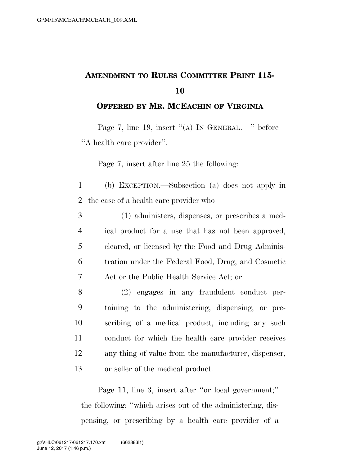## **AMENDMENT TO RULES COMMITTEE PRINT 115- 10**

**OFFERED BY MR. MCEACHIN OF VIRGINIA**

Page 7, line 19, insert  $((A)$  In GENERAL.—" before ''A health care provider''.

Page 7, insert after line 25 the following:

1 (b) EXCEPTION.—Subsection (a) does not apply in 2 the case of a health care provider who—

- 3 (1) administers, dispenses, or prescribes a med-4 ical product for a use that has not been approved, 5 cleared, or licensed by the Food and Drug Adminis-6 tration under the Federal Food, Drug, and Cosmetic 7 Act or the Public Health Service Act; or
- 8 (2) engages in any fraudulent conduct per-9 taining to the administering, dispensing, or pre-10 scribing of a medical product, including any such 11 conduct for which the health care provider receives 12 any thing of value from the manufacturer, dispenser, 13 or seller of the medical product.

Page 11, line 3, insert after "or local government;" the following: ''which arises out of the administering, dispensing, or prescribing by a health care provider of a